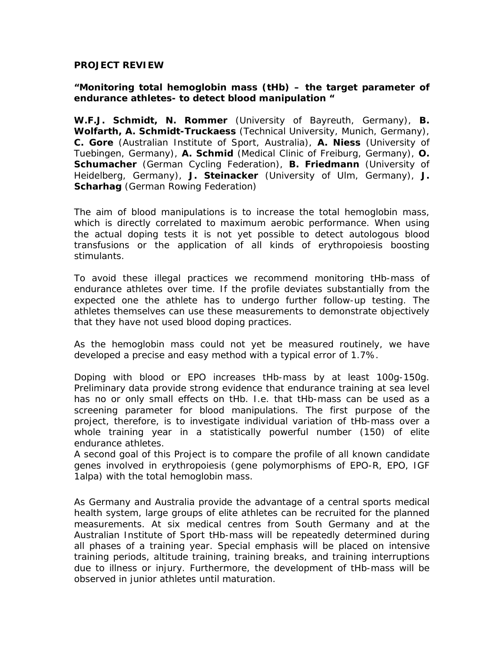## **PROJECT REVIEW**

## **"Monitoring total hemoglobin mass (tHb) – the target parameter of endurance athletes- to detect blood manipulation "**

**W.F.J. Schmidt, N. Rommer** (University of Bayreuth, Germany), **B. Wolfarth, A. Schmidt-Truckaess** (Technical University, Munich, Germany), **C. Gore** (Australian Institute of Sport, Australia), **A. Niess** (University of Tuebingen, Germany), **A. Schmid** (Medical Clinic of Freiburg, Germany), **O. Schumacher** (German Cycling Federation), **B. Friedmann** (University of Heidelberg, Germany), **J. Steinacker** (University of Ulm, Germany), **J. Scharhag** (German Rowing Federation)

The aim of blood manipulations is to increase the total hemoglobin mass, which is directly correlated to maximum aerobic performance. When using the actual doping tests it is not yet possible to detect autologous blood transfusions or the application of all kinds of erythropoiesis boosting stimulants.

To avoid these illegal practices we recommend monitoring tHb-mass of endurance athletes over time. If the profile deviates substantially from the expected one the athlete has to undergo further follow-up testing. The athletes themselves can use these measurements to demonstrate objectively that they have not used blood doping practices.

As the hemoglobin mass could not yet be measured routinely, we have developed a precise and easy method with a typical error of 1.7%.

Doping with blood or EPO increases tHb-mass by at least 100g-150g. Preliminary data provide strong evidence that endurance training at sea level has no or only small effects on tHb. I.e. that tHb-mass can be used as a screening parameter for blood manipulations. The first purpose of the project, therefore, is to investigate individual variation of tHb-mass over a whole training year in a statistically powerful number (150) of elite endurance athletes.

A second goal of this Project is to compare the profile of all known candidate genes involved in erythropoiesis (gene polymorphisms of EPO-R, EPO, IGF 1alpa) with the total hemoglobin mass.

As Germany and Australia provide the advantage of a central sports medical health system, large groups of elite athletes can be recruited for the planned measurements. At six medical centres from South Germany and at the Australian Institute of Sport tHb-mass will be repeatedly determined during all phases of a training year. Special emphasis will be placed on intensive training periods, altitude training, training breaks, and training interruptions due to illness or injury. Furthermore, the development of tHb-mass will be observed in junior athletes until maturation.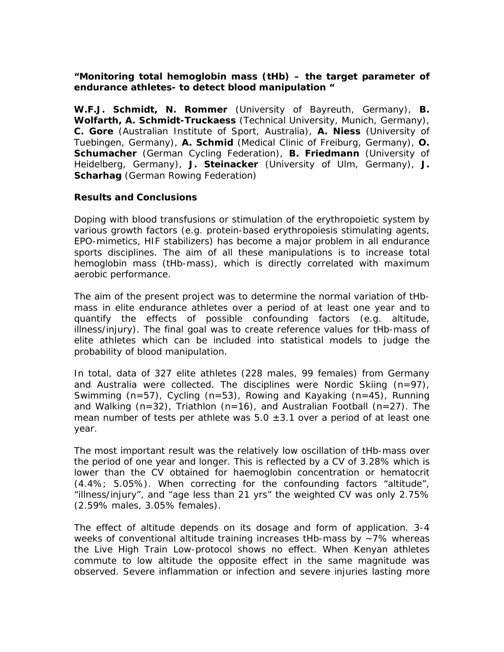## **"Monitoring total hemoglobin mass (tHb) – the target parameter of endurance athletes- to detect blood manipulation "**

**W.F.J. Schmidt, N. Rommer** (University of Bayreuth, Germany), **B. Wolfarth, A. Schmidt-Truckaess** (Technical University, Munich, Germany), **C. Gore** (Australian Institute of Sport, Australia), **A. Niess** (University of Tuebingen, Germany), **A. Schmid** (Medical Clinic of Freiburg, Germany), **O. Schumacher** (German Cycling Federation), **B. Friedmann** (University of Heidelberg, Germany), **J. Steinacker** (University of Ulm, Germany), **J. Scharhag** (German Rowing Federation)

## **Results and Conclusions**

Doping with blood transfusions or stimulation of the erythropoietic system by various growth factors (e.g. protein-based erythropoiesis stimulating agents, EPO-mimetics, HIF stabilizers) has become a major problem in all endurance sports disciplines. The aim of all these manipulations is to increase total hemoglobin mass (tHb-mass), which is directly correlated with maximum aerobic performance.

The aim of the present project was to determine the normal variation of tHbmass in elite endurance athletes over a period of at least one year and to quantify the effects of possible confounding factors (e.g. altitude, illness/injury). The final goal was to create reference values for tHb-mass of elite athletes which can be included into statistical models to judge the probability of blood manipulation.

In total, data of 327 elite athletes (228 males, 99 females) from Germany and Australia were collected. The disciplines were Nordic Skiing  $(n=97)$ , Swimming (n=57), Cycling (n=53), Rowing and Kayaking (n=45), Running and Walking (n=32), Triathlon (n=16), and Australian Football (n=27). The mean number of tests per athlete was  $5.0 \pm 3.1$  over a period of at least one year.

The most important result was the relatively low oscillation of tHb-mass over the period of one year and longer. This is reflected by a CV of 3.28% which is lower than the CV obtained for haemoglobin concentration or hematocrit (4.4%; 5.05%). When correcting for the confounding factors "altitude", "illness/injury", and "age less than 21 yrs" the weighted CV was only 2.75% (2.59% males, 3.05% females).

The effect of altitude depends on its dosage and form of application. 3-4 weeks of conventional altitude training increases tHb-mass by ~7% whereas the Live High Train Low-protocol shows no effect. When Kenyan athletes commute to low altitude the opposite effect in the same magnitude was observed. Severe inflammation or infection and severe injuries lasting more